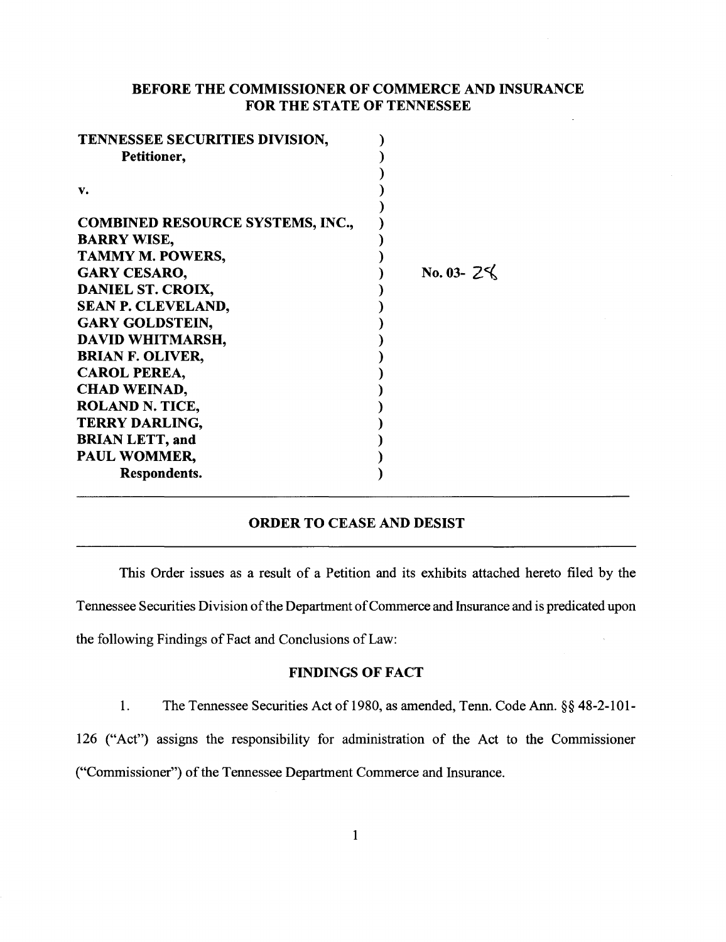# BEFORE THE COMMISSIONER OF COMMERCE AND INSURANCE FOR THE STATE OF TENNESSEE

| TENNESSEE SECURITIES DIVISION,          |                        |
|-----------------------------------------|------------------------|
| Petitioner,                             |                        |
|                                         |                        |
| v.                                      |                        |
|                                         |                        |
| <b>COMBINED RESOURCE SYSTEMS, INC.,</b> |                        |
| <b>BARRY WISE,</b>                      |                        |
| TAMMY M. POWERS,                        |                        |
| <b>GARY CESARO,</b>                     | No. 03- $2\frac{1}{2}$ |
| DANIEL ST. CROIX,                       |                        |
| SEAN P. CLEVELAND,                      |                        |
| <b>GARY GOLDSTEIN,</b>                  |                        |
| DAVID WHITMARSH,                        |                        |
| <b>BRIAN F. OLIVER,</b>                 |                        |
| <b>CAROL PEREA,</b>                     |                        |
| <b>CHAD WEINAD,</b>                     |                        |
| <b>ROLAND N. TICE,</b>                  |                        |
| <b>TERRY DARLING,</b>                   |                        |
| <b>BRIAN LETT, and</b>                  |                        |
| PAUL WOMMER,                            |                        |
| Respondents.                            |                        |
|                                         |                        |

# ORDER TO CEASE AND DESIST

This Order issues as a result of a Petition and its exhibits attached hereto filed by the Tennessee Securities Division of the Department of Commerce and Insurance and is predicated upon the following Findings of Fact and Conclusions of Law:

# FINDINGS OF FACT

1. The Tennessee Securities Act of 1980, as amended, Tenn. Code Ann. §§ 48-2-101-

126 ("Act") assigns the responsibility for administration of the Act to the Commissioner ("Commissioner") of the Tennessee Department Commerce and Insurance.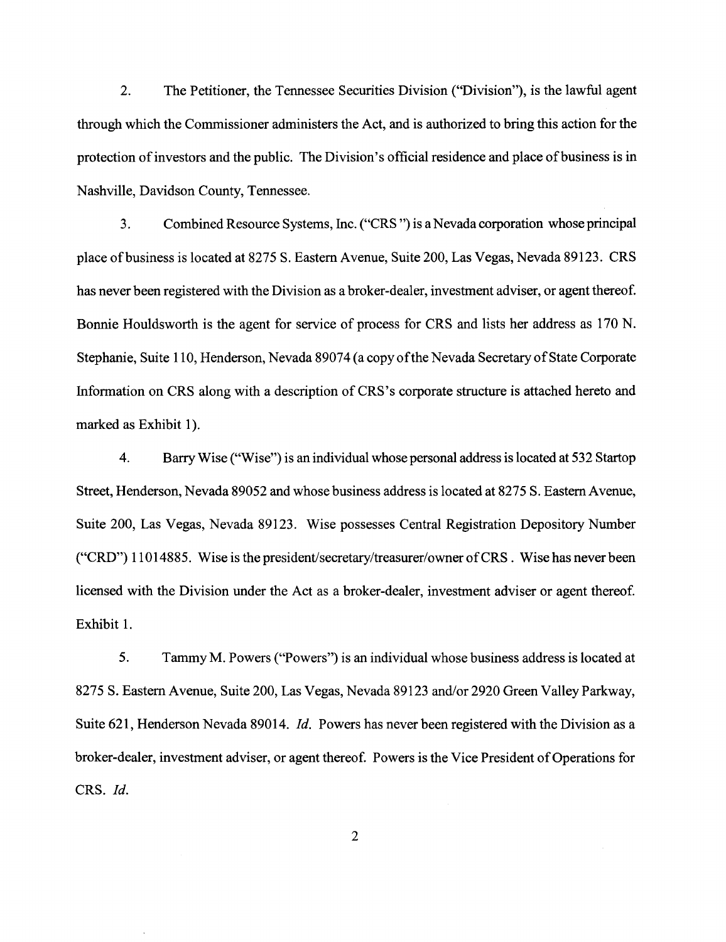2. The Petitioner, the Tennessee Securities Division ("Division"), is the lawful agent through which the Commissioner administers the Act, and is authorized to bring this action for the protection of investors and the public. The Division's official residence and place of business is in Nashville, Davidson County, Tennessee.

3. Combined Resource Systems, Inc. ("CRS ")is aN evada corporation whose principal place ofbusiness is located at 8275 S. Eastern Avenue, Suite 200, Las Vegas, Nevada 89123. CRS has never been registered with the Division as a broker-dealer, investment adviser, or agent thereof. Bonnie Houldsworth is the agent for service of process for CRS and lists her address as 170 N. Stephanie, Suite 110, Henderson, Nevada 89074 (a copy of the Nevada Secretary of State Corporate Information on CRS along with a description of CRS's corporate structure is attached hereto and marked as Exhibit 1).

4. Barry Wise ("Wise") is an individual whose personal address is located at 532 Startop Street, Henderson, Nevada 89052 and whose business address is located at 8275 S. Eastern Avenue, Suite 200, Las Vegas, Nevada 89123. Wise possesses Central Registration Depository Number ("CRD") 11014885. Wise is the president/secretary/treasurer/owner of CRS. Wise has never been licensed with the Division under the Act as a broker-dealer, investment adviser or agent thereof. Exhibit 1.

5. Tammy M. Powers ("Powers") is an individual whose business address is located at 8275 S. Eastern Avenue, Suite 200, Las Vegas, Nevada 89123 and/or 2920 Green Valley Parkway, Suite 621, Henderson Nevada 89014. *!d.* Powers has never been registered with the Division as a broker-dealer, investment adviser, or agent thereof. Powers is the Vice President of Operations for CRS. *Id.*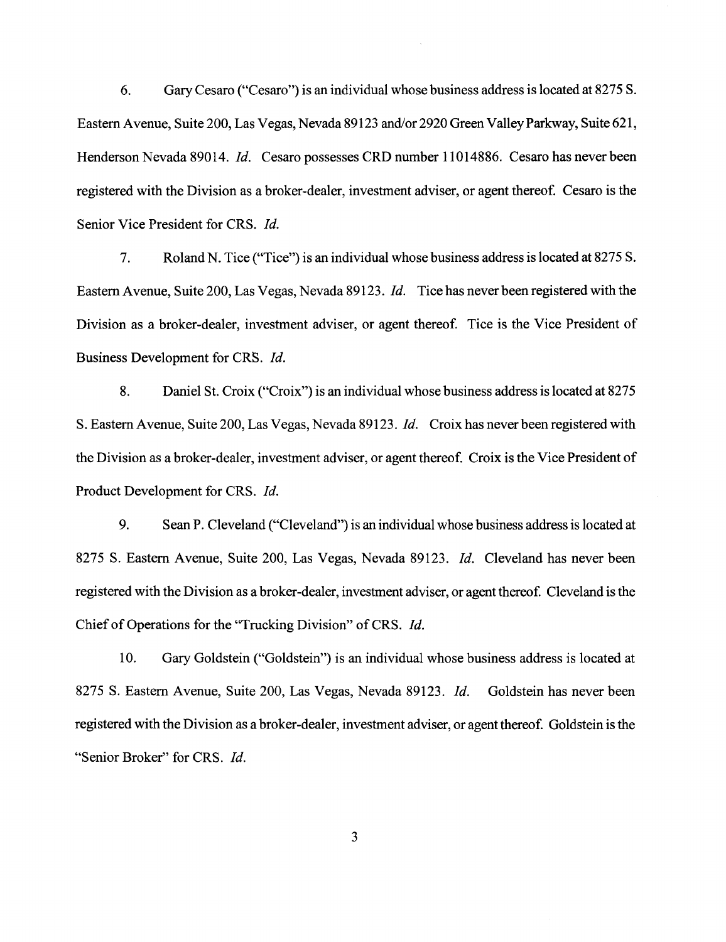6. Gary Cesaro ("Cesaro") is an individual whose business address is located at 8275 S. Eastern Avenue, Suite 200, Las Vegas, Nevada 89123 and/or 2920 Green Valley Parkway, Suite 621, Henderson Nevada 89014. *!d.* Cesaro possesses CRD number 11014886. Cesaro has never been registered with the Division as a broker-dealer, investment adviser, or agent thereof. Cesaro is the Senior Vice President for CRS. *!d.* 

7. Roland N. Tice ("Tice") is an individual whose business address is located at 8275 S. Eastern Avenue, Suite 200, Las Vegas, Nevada 89123. *!d.* Tice has never been registered with the Division as a broker-dealer, investment adviser, or agent thereof. Tice is the Vice President of Business Development for CRS. *!d.* 

8. Daniel St. Croix ("Croix") is an individual whose business address is located at 8275 S. Eastern A venue, Suite 200, Las Vegas, Nevada 89123. *!d.* Croix has never been registered with the Division as a broker-dealer, investment adviser, or agent thereof. Croix is the Vice President of Product Development for CRS. *!d.* 

9. Sean P. Cleveland ("Cleveland") is an individual whose business address is located at 8275 S. Eastern Avenue, Suite 200, Las Vegas, Nevada 89123. *!d.* Cleveland has never been registered with the Division as a broker-dealer, investment adviser, or agent thereof. Cleveland is the Chief of Operations for the "Trucking Division" of CRS. *!d.* 

10. Gary Goldstein ("Goldstein") is an individual whose business address is located at 8275 S. Eastern Avenue, Suite 200, Las Vegas, Nevada 89123. *!d.* Goldstein has never been registered with the Division as a broker-dealer, investment adviser, or agent thereof. Goldstein is the "Senior Broker" for CRS. *!d.*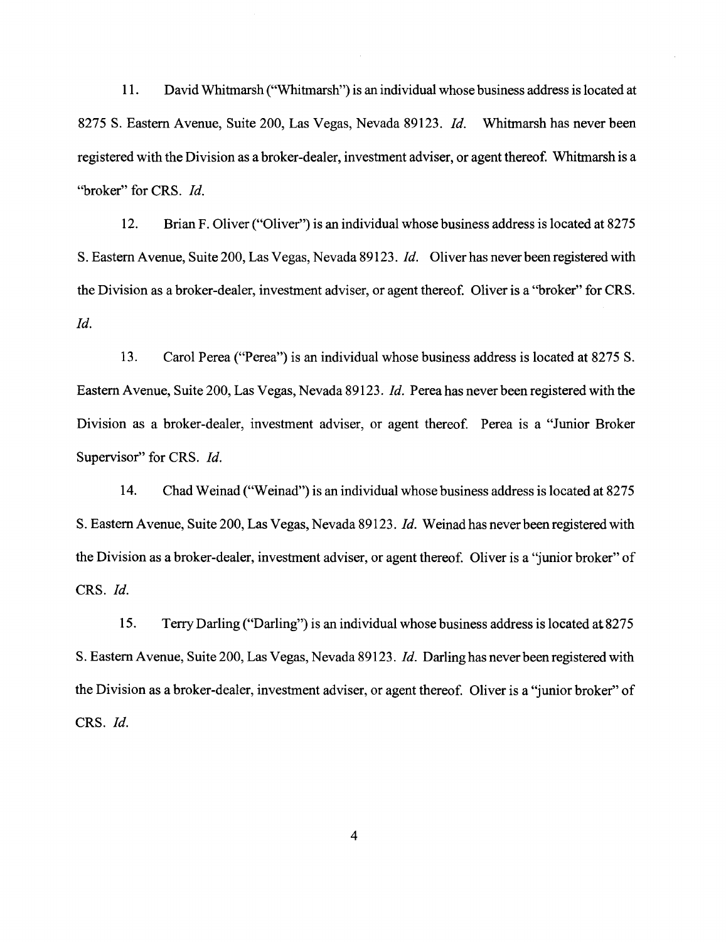11. David Whitmarsh ("Whitmarsh") is an individual whose business address is located at 8275 S. Eastern Avenue, Suite 200, Las Vegas, Nevada 89123. *!d.* Whitmarsh has never been registered with the Division as a broker-dealer, investment adviser, or agent thereof. Whitmarsh is a "broker" for CRS. *!d.* 

12. Brian F. Oliver ("Oliver") is an individual whose business address is located at 8275 S. Eastern Avenue, Suite200, Las Vegas, Nevada 89123. *!d.* Oliver has never been registered with the Division as a broker-dealer, investment adviser, or agent thereof. Oliver is a "broker" for CRS. *!d.* 

13. Carol Perea ("Perea") is an individual whose business address is located at 8275 S. Eastern Avenue, Suite 200, Las Vegas, Nevada 89123. *!d.* Perea has never been registered with the Division as a broker-dealer, investment adviser, or agent thereof. Perea is a "Junior Broker Supervisor" for CRS. *Id.* 

14. Chad Weinad ("Weinad") is an individual whose business address is located at 8275 S. Eastern Avenue, Suite 200, Las Vegas, Nevada 89123. *Id.* Weinad has never been registered with the Division as a broker-dealer, investment adviser, or agent thereof. Oliver is a 'junior broker" of CRS. *!d.* 

15. Terry Darling ("Darling") is an individual whose business address is located at8275 S. Eastern Avenue, Suite 200, Las Vegas, Nevada 89123. *!d.* Darlinghasneverbeenregistered with the Division as a broker-dealer, investment adviser, or agent thereof. Oliver is a 'junior broker" of CRS. *!d.*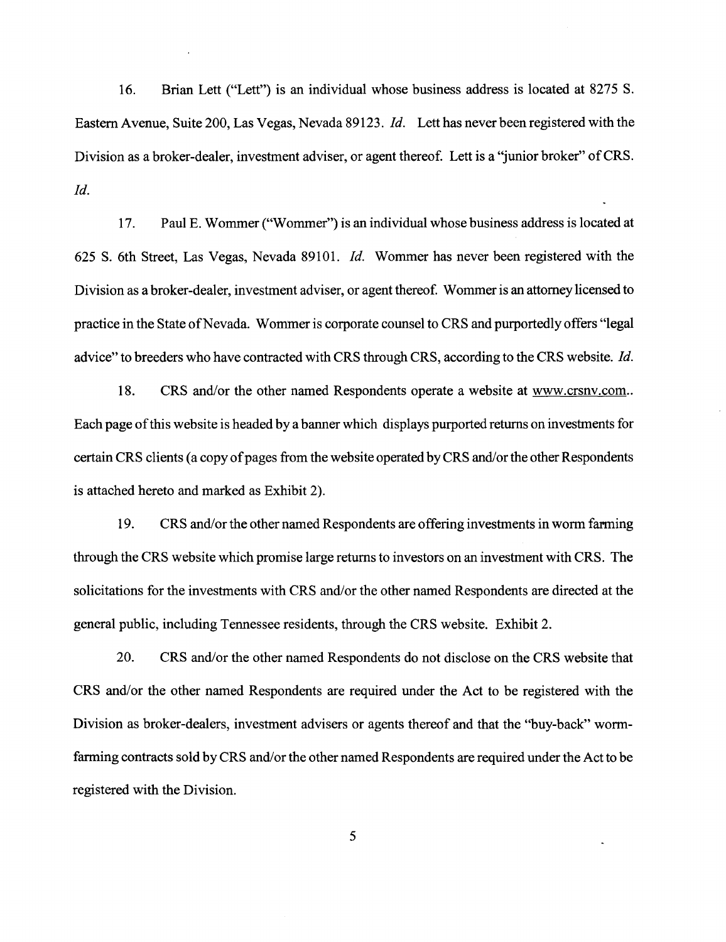16. Brian Lett ("Lett") is an individual whose business address is located at 8275 S. Eastern Avenue, Suite 200, Las Vegas, Nevada 89123. *Id.* Lett has never been registered with the Division as a broker-dealer, investment adviser, or agent thereof. Lett is a "junior broker" of CRS. *!d.* 

17. Paul E. Wommer ("Wommer") is an individual whose business address is located at 625 S. 6th Street, Las Vegas, Nevada 89101. *Id.* Wommer has never been registered with the Division as a broker-dealer, investment adviser, or agent thereof. Wommer is an attorney licensed to practice in the State of Nevada. Wommer is corporate counsel to CRS and purportedly offers "legal advice" to breeders who have contracted with CRS through CRS, according to the CRS website. *Id.* 

18. CRS and/or the other named Respondents operate a website at www.crsnv.com.. Each page of this website is headed by a banner which displays purported returns on investments for certain CRS clients (a copy of pages from the website operated by CRS and/or the other Respondents is attached hereto and marked as Exhibit 2).

19. CRS and/or the other named Respondents are offering investments in worm farming through the CRS website which promise large returns to investors on an investment with CRS. The solicitations for the investments with CRS and/or the other named Respondents are directed at the general public, including Tennessee residents, through the CRS website. Exhibit 2.

20. CRS and/or the other named Respondents do not disclose on the CRS website that CRS and/or the other named Respondents are required under the Act to be registered with the Division as broker-dealers, investment advisers or agents thereof and that the "buy-back" wormfarming contracts sold by CRS and/or the other named Respondents are required under the Act to be registered with the Division.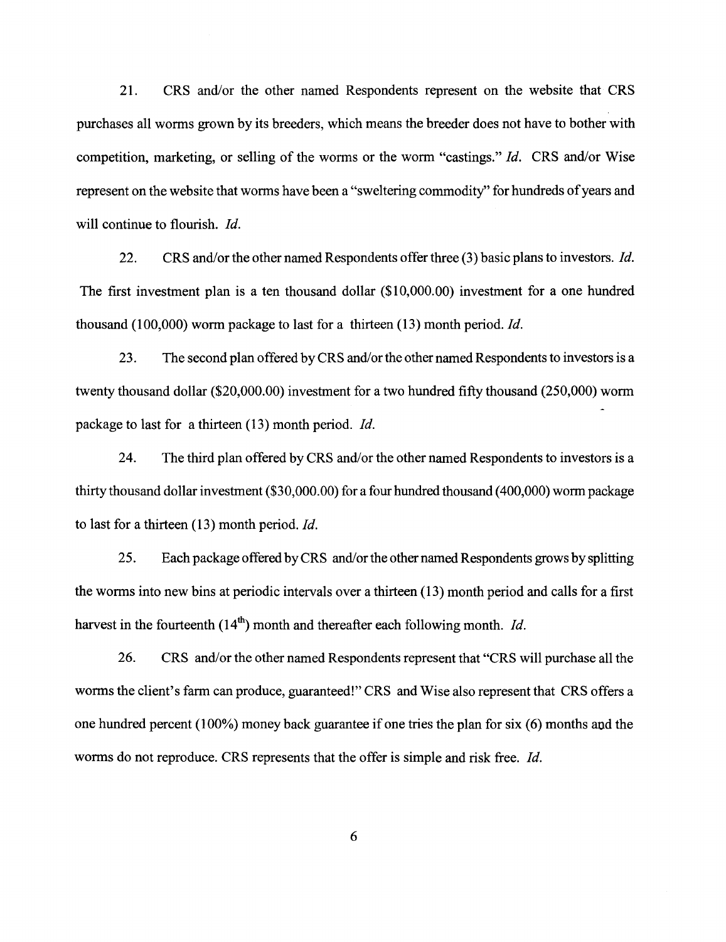21. CRS and/or the other named Respondents represent on the website that CRS purchases all worms grown by its breeders, which means the breeder does not have to bother with competition, marketing, or selling of the worms or the worm "castings." *Id.* CRS and/or Wise represent on the website that worms have been a "sweltering commodity" for hundreds of years and will continue to flourish. *Id.* 

22. CRS and/or the other named Respondents offer three (3) basic plans to investors. *Id.*  The first investment plan is a ten thousand dollar (\$10,000.00) investment for a one hundred thousand (100,000) worm package to last for a thirteen (13) month period. *Id.* 

23. The second plan offered by CRS and/or the other named Respondents to investors is a twenty thousand dollar (\$20,000.00) investment for a two hundred fifty thousand (250,000) worm package to last for a thirteen (13) month period. *Id.* 

24. The third plan offered by CRS and/or the other named Respondents to investors is a thirty thousand dollar investment (\$30,000.00) for a four hundred thousand ( 400,000) worm package to last for a thirteen (13) month period. *Id.* 

25. Each package offered by CRS and/or the other named Respondents grows by splitting the worms into new bins at periodic intervals over a thirteen (13) month period and calls for a first harvest in the fourteenth  $(14<sup>th</sup>)$  month and thereafter each following month. *Id.* 

26. CRS and/or the other named Respondents represent that "CRS will purchase all the worms the client's farm can produce, guaranteed!" CRS and Wise also represent that CRS offers a one hundred percent  $(100\%)$  money back guarantee if one tries the plan for six  $(6)$  months and the worms do not reproduce. CRS represents that the offer is simple and risk free. *Id.*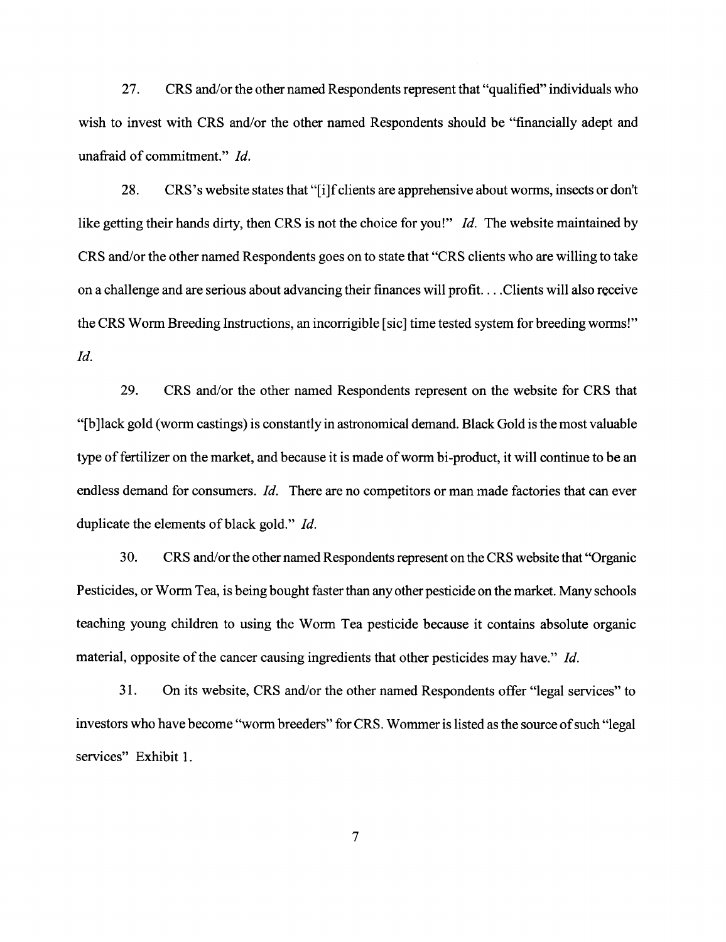27. CRS and/or the other named Respondents represent that "qualified" individuals who wish to invest with CRS and/or the other named Respondents should be "financially adept and unafraid of commitment." *!d.* 

28. CRS 's website states that "[i]f clients are apprehensive about worms, insects or don't like getting their hands dirty, then CRS is not the choice for you!" *!d.* The website maintained by CRS and/or the other named Respondents goes on to state that "CRS clients who are willing to take on a challenge and are serious about advancing their finances will profit. ... Clients will also receive the CRS Worm Breeding Instructions, an incorrigible [sic] time tested system for breeding worms!" *!d.* 

29. CRS and/or the other named Respondents represent on the website for CRS that "[b ]lack gold (worm castings) is constantly in astronomical demand. Black Gold is the most valuable type of fertilizer on the market, and because it is made of worm hi-product, it will continue to be an endless demand for consumers. *Id.* There are no competitors or man made factories that can ever duplicate the elements of black gold." *Id.* 

30. CRS and/or the other named Respondents represent on the CRS website that "Organic Pesticides, or Worm Tea, is being bought faster than any other pesticide on the market. Many schools teaching young children to using the Worm Tea pesticide because it contains absolute organic material, opposite of the cancer causing ingredients that other pesticides may have." *!d.* 

31. On its website, CRS and/or the other named Respondents offer "legal services" to investors who have become "worm breeders" for CRS. Wommer is listed as the source of such "legal services" Exhibit 1.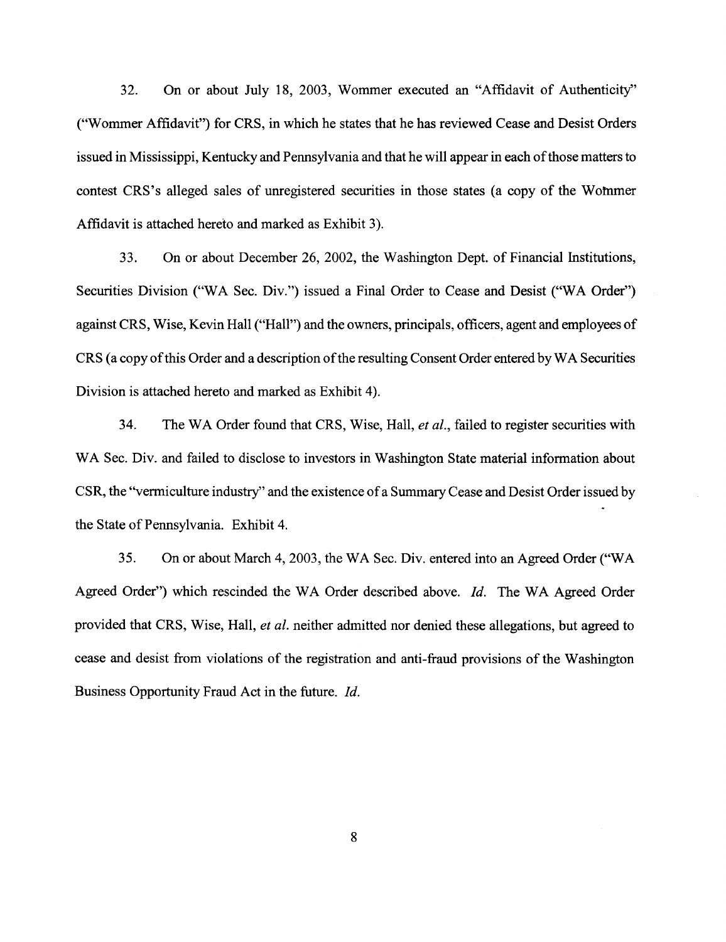32. On or about July 18, 2003, Wommer executed an "Affidavit of Authenticity" ("Wommer Affidavit") for CRS, in which he states that he has reviewed Cease and Desist Orders issued in Mississippi, Kentucky and Pennsylvania and that he will appear in each of those matters to contest CRS's alleged sales of unregistered securities in those states (a copy of the Wofnmer Affidavit is attached hereto and marked as Exhibit 3).

33. On or about December 26, 2002, the Washington Dept. of Financial Institutions, Securities Division ("WA Sec. Div.") issued a Final Order to Cease and Desist ("WA Order") against CRS, Wise, Kevin Hall ("Hall") and the owners, principals, officers, agent and employees of CRS (a copy of this Order and a description of the resulting Consent Order entered by WA Securities Division is attached hereto and marked as Exhibit 4).

34. The W A Order found that CRS, Wise, Hall, *et al.,* failed to register securities with WA Sec. Div. and failed to disclose to investors in Washington State material information about CSR, the ''vermiculture industry" and the existence of a Summary Cease and Desist Order issued by the State of Pennsylvania. Exhibit 4.

35. On or about March 4, 2003, theW A Sec. Div. entered into an Agreed Order ("WA Agreed Order") which rescinded the WA Order described above. *Id.* The WA Agreed Order provided that CRS, Wise, Hall, *et al.* neither admitted nor denied these allegations, but agreed to cease and desist from violations of the registration and anti-fraud provisions of the Washington Business Opportunity Fraud Act in the future. *!d.*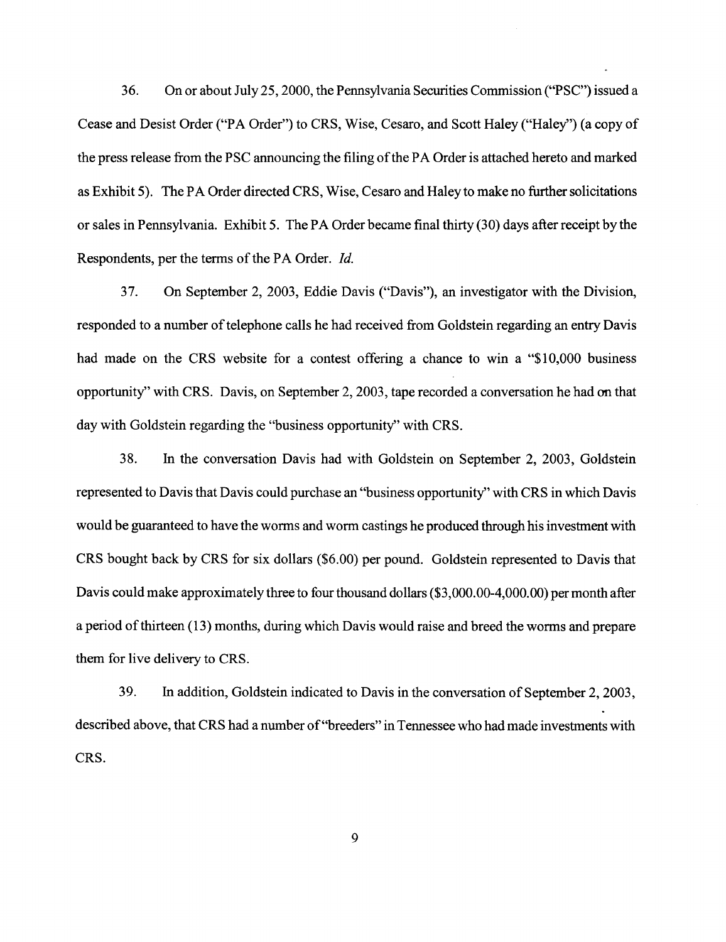36. On or about July 25, 2000, the Pennsylvania Securities Commission ("PSC'') issued a Cease and Desist Order ("PA Order") to CRS, Wise, Cesaro, and Scott Haley ("Haley'') (a copy of the press release from the PSC announcing the filing of the PA Order is attached hereto and marked as Exhibit 5). The PA Order directed CRS, Wise, Cesaro and Haley to make no further solicitations or sales in Pennsylvania. Exhibit 5. The PA Order became final thirty (30) days after receipt by the Respondents, per the terms of the PA Order. *Id.* 

37. On September 2, 2003, Eddie Davis ("Davis"), an investigator with the Division, responded to a number of telephone calls he had received from Goldstein regarding an entry Davis had made on the CRS website for a contest offering a chance to win a "\$10,000 business" opportunity'' with CRS. Davis, on September 2, 2003, tape recorded a conversation he had on that day with Goldstein regarding the "business opportunity" with CRS.

38. In the conversation Davis had with Goldstein on September 2, 2003, Goldstein represented to Davis that Davis could purchase an "business opportunity'' with CRS in which Davis would be guaranteed to have the worms and worm castings he produced through his investment with CRS bought back by CRS for six dollars (\$6.00) per pound. Goldstein represented to Davis that Davis could make approximately three to four thousand dollars (\$3,000.00-4,000.00) per month after a period of thirteen (13) months, during which Davis would raise and breed the worms and prepare them for live delivery to CRS.

39. In addition, Goldstein indicated to Davis in the conversation of September 2, 2003, described above, that CRS had a number of "breeders" in Tennessee who had made investments with CRS.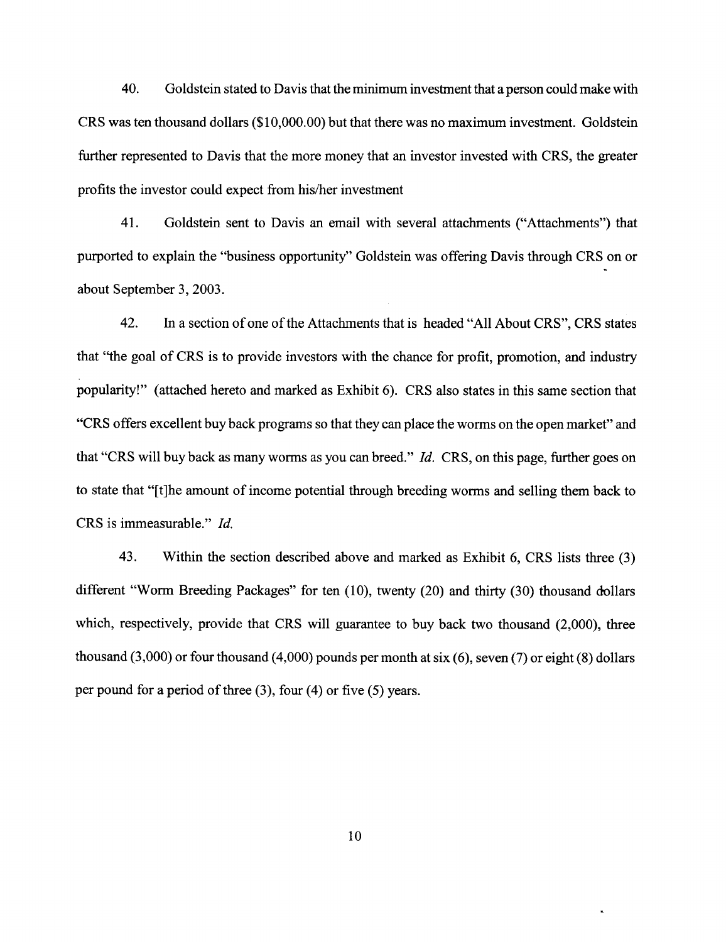40. Goldstein stated to Davis that the minimum investment that a person could make with CRS was ten thousand dollars (\$1 0,000.00) but that there was no maximum investment. Goldstein further represented to Davis that the more money that an investor invested with CRS, the greater profits the investor could expect from his/her investment

41. Goldstein sent to Davis an email with several attachments ("Attachments") that purported to explain the "business opportunity" Goldstein was offering Davis through CRS on or about September 3, 2003.

42. In a section of one of the Attachments that is headed "All About CRS", CRS states that "the goal of CRS is to provide investors with the chance for profit, promotion, and industry popularity!" (attached hereto and marked as Exhibit 6). CRS also states in this same section that "CRS offers excellent buy back programs so that they can place the worms on the open market" and that "CRS will buy back as many worms as you can breed." *!d.* CRS, on this page, further goes on to state that "[t]he amount of income potential through breeding worms and selling them back to CRS is immeasurable." *!d.* 

43. Within the section described above and marked as Exhibit 6, CRS lists three (3) different "Worm Breeding Packages" for ten (10), twenty (20) and thirty (30) thousand dollars which, respectively, provide that CRS will guarantee to buy back two thousand (2,000), three thousand  $(3,000)$  or four thousand  $(4,000)$  pounds per month at six  $(6)$ , seven  $(7)$  or eight  $(8)$  dollars per pound for a period of three (3), four (4) or five (5) years.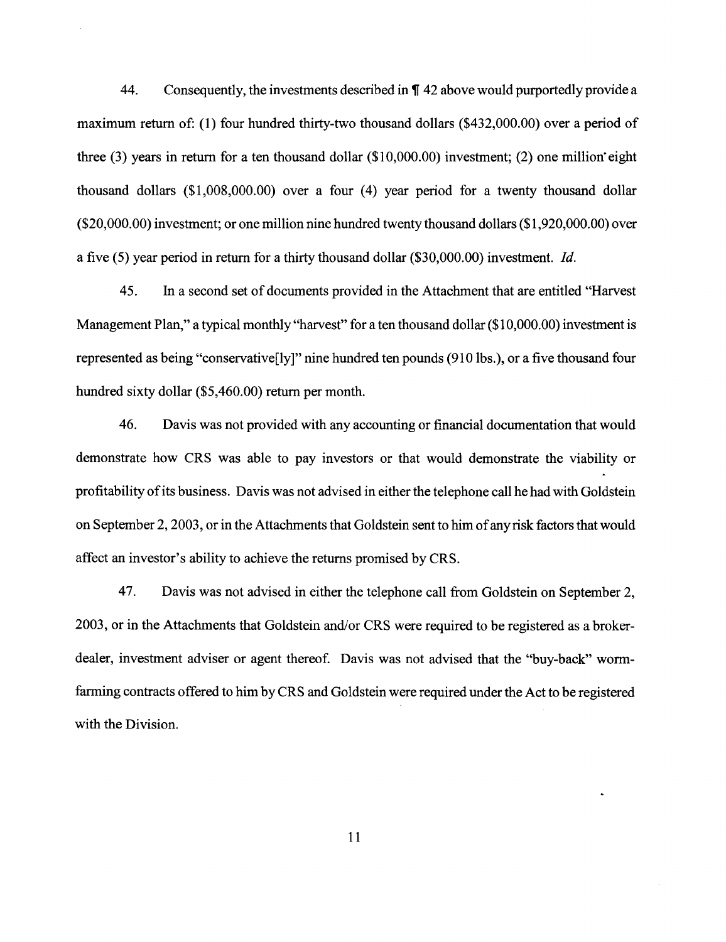44. Consequently, the investments described in  $\P$  42 above would purportedly provide a maximum return of: (1) four hundred thirty-two thousand dollars (\$432,000.00) over a period of three (3) years in return for a ten thousand dollar (\$10,000.00) investment; (2) one million· eight thousand dollars  $(\$1,008,000,00)$  over a four (4) year period for a twenty thousand dollar (\$20,000.00) investment; or one million nine hundred twenty thousand dollars (\$1 ,920,000.00) over a five (5) year period in return for a thirty thousand dollar (\$30,000.00) investment. *Id.* 

45. In a second set of documents provided in the Attachment that are entitled "Harvest Management Plan," a typical monthly "harvest" for a ten thousand dollar (\$10,000,00) investment is represented as being "conservative<sup>[ly]"</sup> nine hundred ten pounds (910 lbs.), or a five thousand four hundred sixty dollar (\$5,460.00) return per month.

46. Davis was not provided with any accounting or financial documentation that would demonstrate how CRS was able to pay investors or that would demonstrate the viability or profitability of its business. Davis was not advised in either the telephone call he had with Goldstein on September 2, 2003, or in the Attachments that Goldstein sent to him of any risk factors that would affect an investor's ability to achieve the returns promised by CRS.

47. Davis was not advised in either the telephone call from Goldstein on September 2, 2003, or in the Attachments that Goldstein and/or CRS were required to be registered as a brokerdealer, investment adviser or agent thereof. Davis was not advised that the "buy-back" wormfarming contracts offered to him by CRS and Goldstein were required under the Act to be registered with the Division.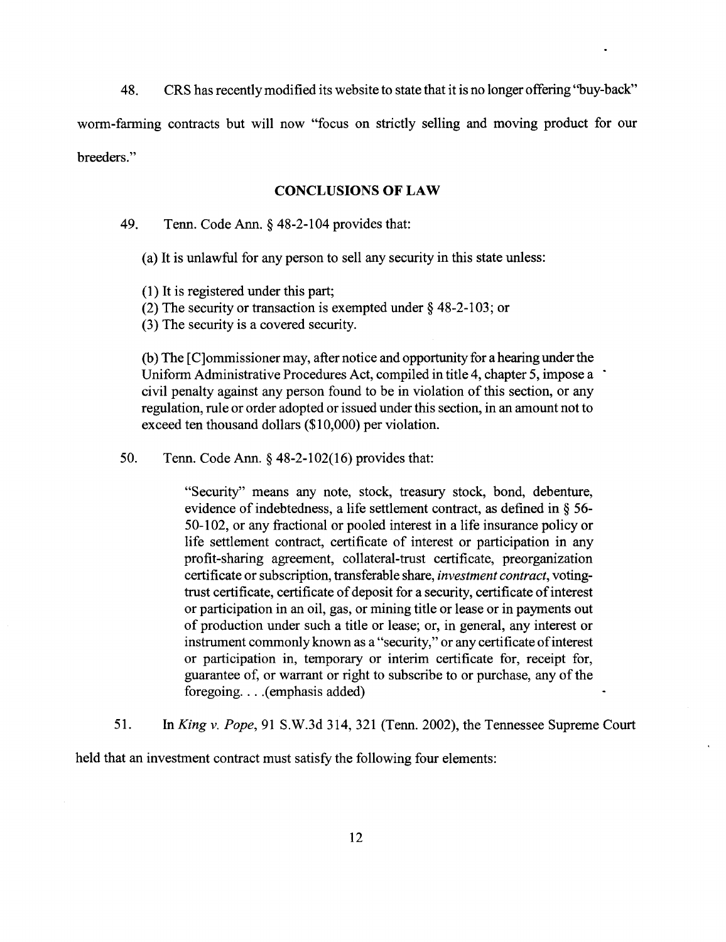48. CRS has recently modified its website to state that it is no longer offering ''buy-back"

worm-farming contracts but will now "focus on strictly selling and moving product for our breeders."

#### **CONCLUSIONS OF LAW**

49. Tenn. Code Ann.§ 48-2-104 provides that:

(a) It is unlawful for any person to sell any security in this state unless:

(1) It is registered under this part;

(2) The security or transaction is exempted under§ 48-2-103; or

(3) The security is a covered security.

(b) The [ C]ommissioner may, after notice and opportunity for a hearing under the Uniform Administrative Procedures Act, compiled in title 4, chapter 5, impose a · civil penalty against any person found to be in violation of this section, or any regulation, rule or order adopted or issued under this section, in an amount not to exceed ten thousand dollars (\$10,000) per violation.

50. Tenn. Code Ann. § 48-2-102(16) provides that:

"Security" means any note, stock, treasury stock, bond, debenture, evidence of indebtedness, a life settlement contract, as defined in § 56- 50-102, or any fractional or pooled interest in a life insurance policy or life settlement contract, certificate of interest or participation in any profit-sharing agreement, collateral-trust certificate, preorganization certificate or subscription, transferable share, *investment contract,* votingtrust certificate, certificate of deposit for a security, certificate of interest or participation in an oil, gas, or mining title or lease or in payments out of production under such a title or lease; or, in general, any interest or instrument commonly known as a "security," or any certificate of interest or participation in, temporary or interim certificate for, receipt for, guarantee of, or warrant or right to subscribe to or purchase, any of the foregoing.... (emphasis added)

51. In *King* v. *Pope,* 91 S.W.3d 314, 321 (Tenn. 2002), the Tennessee Supreme Court

held that an investment contract must satisfy the following four elements: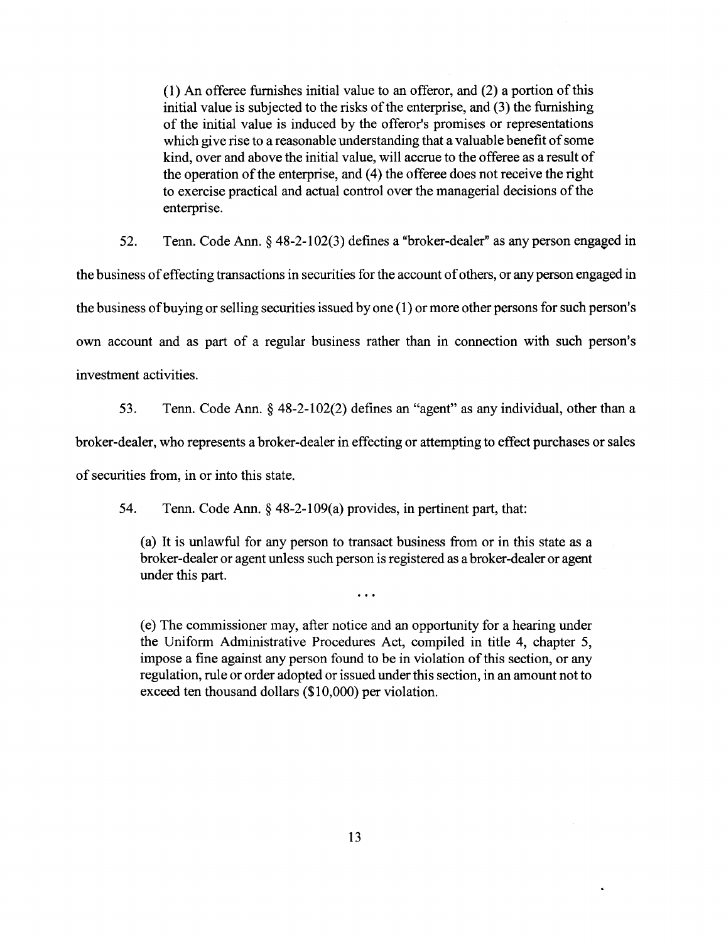(1) An offeree furnishes initial value to an offeror, and (2) a portion of this initial value is subjected to the risks of the enterprise, and (3) the furnishing of the initial value is induced by the offeror's promises or representations which give rise to a reasonable understanding that a valuable benefit of some kind, over and above the initial value, will accrue to the offeree as a result of the operation of the enterprise, and (4) the offeree does not receive the right to exercise practical and actual control over the managerial decisions of the enterprise.

52. Tenn. Code Ann. § 48-2-1 02(3) defines a "broker-dealer" as any person engaged in the business of effecting transactions in securities for the account of others, or any person engaged in the business ofbuying or selling securities issued by one (1) or more other persons for such person's own account and as part of a regular business rather than in connection with such person's investment activities.

53. Tenn. Code Ann. § 48-2-102(2) defines an "agent" as any individual, other than a

broker-dealer, who represents a broker-dealer in effecting or attempting to effect purchases or sales

of securities from, in or into this state.

54. Tenn. Code Ann.§ 48-2-109(a) provides, in pertinent part, that:

(a) It is unlawful for any person to transact business from or in this state as a broker-dealer or agent unless such person is registered as a broker-dealer or agent under this part.

 $\dddot{\phantom{0}}\cdot\cdot\cdot$ 

(e) The commissioner may, after notice and an opportunity for a hearing under the Uniform Administrative Procedures Act, compiled in title 4, chapter 5, impose a fine against any person found to be in violation of this section, or any regulation, rule or order adopted or issued under this section, in an amount not to exceed ten thousand dollars (\$10,000) per violation.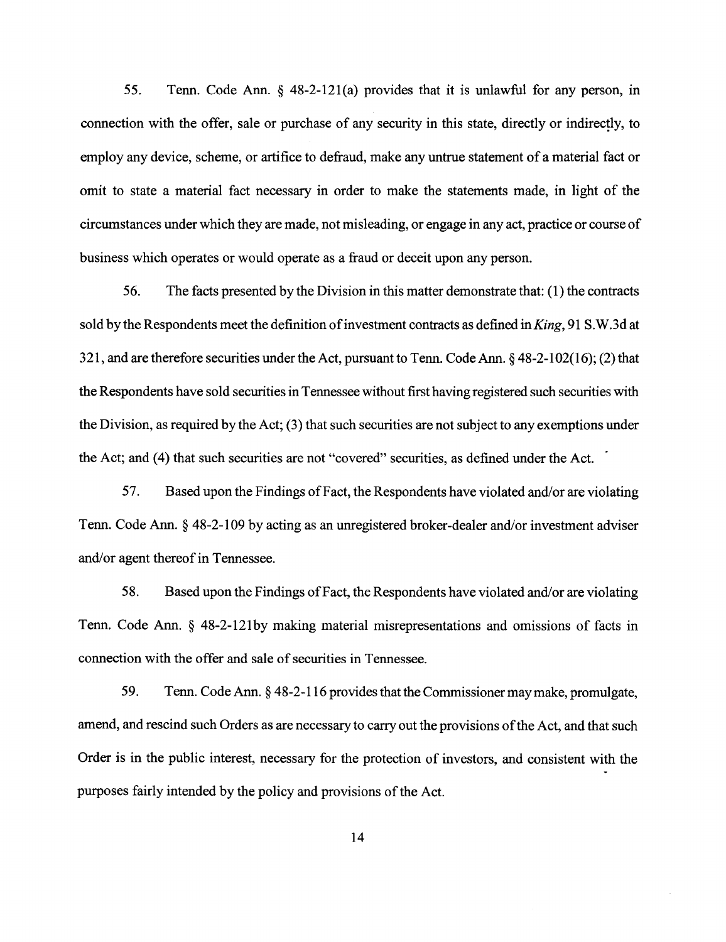55. Tenn. Code Ann. § 48-2-121(a) provides that it is unlawful for any person, in connection with the offer, sale or purchase of any security in this state, directly or indirectly, to employ any device, scheme, or artifice to defraud, make any untrue statement of a material fact or omit to state a material fact necessary in order to make the statements made, in light of the circumstances under which they are made, not misleading, or engage in any act, practice or course of business which operates or would operate as a fraud or deceit upon any person.

56. The facts presented by the Division in this matter demonstrate that: (1) the contracts sold by the Respondents meet the definition of investment contracts as defined *inKing,* 91 S.W.3d at 321, and are therefore securities under the Act, pursuant to Tenn. Code Ann. § 48-2-1 02(16); (2) that the Respondents have sold securities in Tennessee without first having registered such securities with the Division, as required by the Act; (3) that such securities are not subject to any exemptions under the Act; and (4) that such securities are not "covered" securities, as defined under the Act.

57. Based upon the Findings of Fact, the Respondents have violated and/or are violating Tenn. Code Ann. § 48-2-109 by acting as an unregistered broker-dealer and/or investment adviser and/or agent thereof in Tennessee.

58. Based upon the Findings of Fact, the Respondents have violated and/or are violating Tenn. Code Ann. § 48-2-121by making material misrepresentations and omissions of facts in connection with the offer and sale of securities in Tennessee.

59. Tenn. Code Ann. § 48-2-116 provides that the Commissioner may make, promulgate, amend, and rescind such Orders as are necessary to carry out the provisions of the Act, and that such Order is in the public interest, necessary for the protection of investors, and consistent with the purposes fairly intended by the policy and provisions of the Act.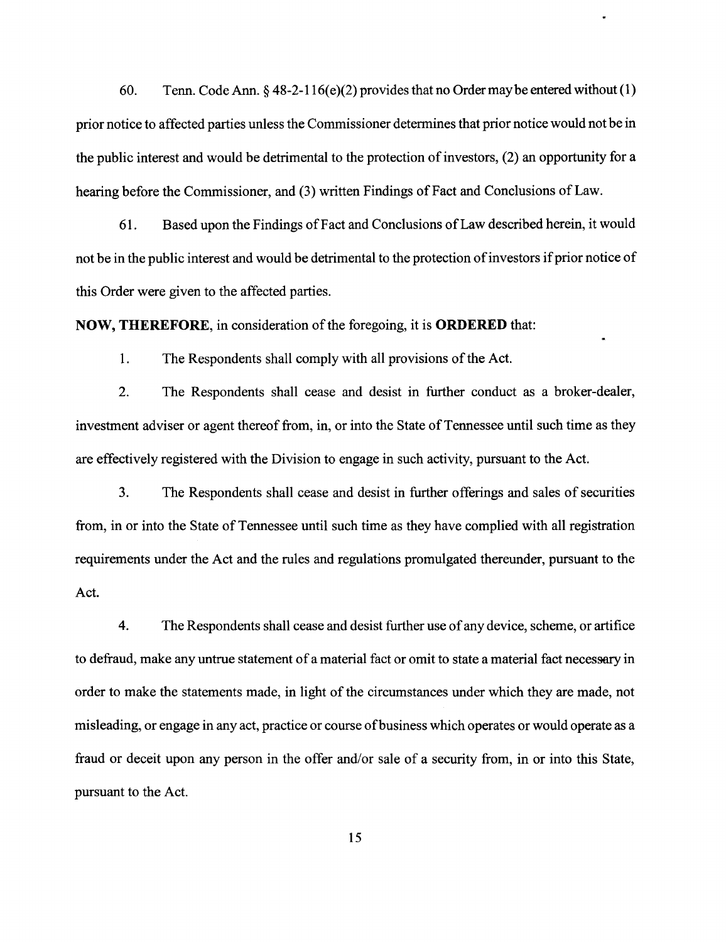60. Tenn. Code Ann.  $\frac{648-2-116(e)(2)}{20}$  provides that no Order may be entered without (1) prior notice to affected parties unless the Commissioner determines that prior notice would not be in the public interest and would be detrimental to the protection of investors, (2) an opportunity for a hearing before the Commissioner, and (3) written Findings of Fact and Conclusions of Law.

61. Based upon the Findings of Fact and Conclusions ofLaw described herein, it would not be in the public interest and would be detrimental to the protection of investors if prior notice of this Order were given to the affected parties.

**NOW, THEREFORE,** in consideration of the foregoing, it is **ORDERED** that:

1. The Respondents shall comply with all provisions of the Act.

2. The Respondents shall cease and desist in further conduct as a broker-dealer, investment adviser or agent thereof from, in, or into the State of Tennessee until such time as they are effectively registered with the Division to engage in such activity, pursuant to the Act.

3. The Respondents shall cease and desist in further offerings and sales of securities from, in or into the State of Tennessee until such time as they have complied with all registration requirements under the Act and the rules and regulations promulgated thereunder, pursuant to the Act.

4. The Respondents shall cease and desist further use of any device, scheme, or artifice to defraud, make any untrue statement of a material fact or omit to state a material fact necessary in order to make the statements made, in light of the circumstances under which they are made, not misleading, or engage in any act, practice or course of business which operates or would operate as a fraud or deceit upon any person in the offer and/or sale of a security from, in or into this State, pursuant to the Act.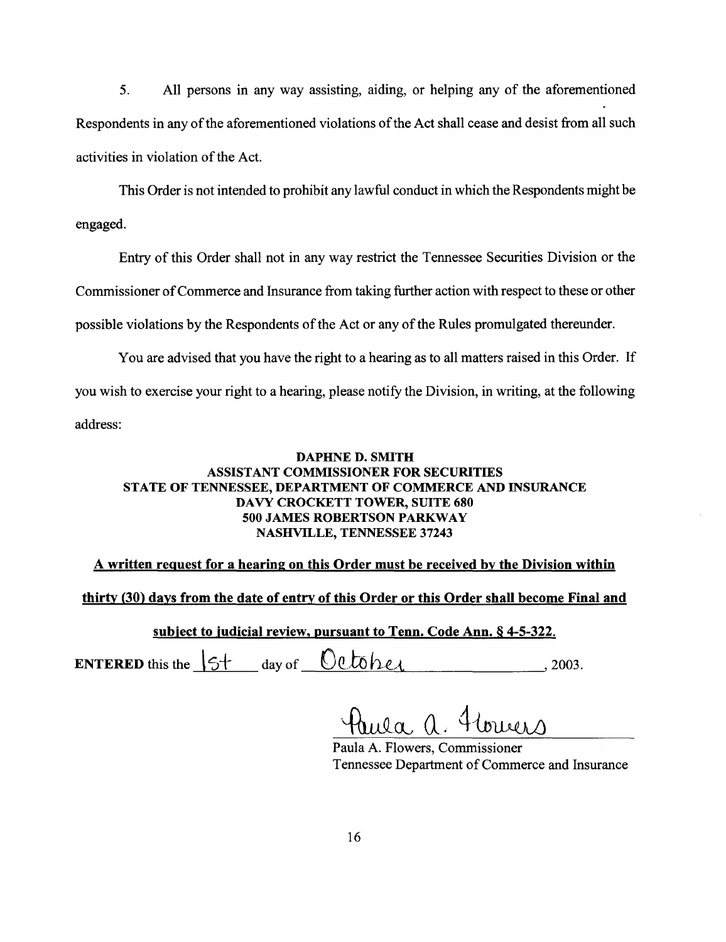5. All persons in any way assisting, aiding, or helping any of the aforementioned Respondents in any of the aforementioned violations of the Act shall cease and desist from all such activities in violation of the Act.

This Order is not intended to prohibit any lawful conduct in which the Respondents might be engaged.

Entry of this Order shall not in any way restrict the Tennessee Securities Division or the Commissioner of Commerce and Insurance from taking further action with respect to these or other possible violations by the Respondents of the Act or any of the Rules promulgated thereunder.

You are advised that you have the right to a hearing as to all matters raised in this Order. If you wish to exercise your right to a hearing, please notify the Division, in writing, at the following address:

## DAPHNE D. SMITH ASSISTANT COMMISSIONER FOR SECURITIES STATE OF TENNESSEE, DEPARTMENT OF COMMERCE AND INSURANCE DAVY CROCKETT TOWER, SUITE 680 500 JAMES ROBERTSON PARKWAY NASHVILLE, TENNESSEE 37243

A written request for a hearing on this Order must be received by the Division within

thirty (30) days from the date of entry of this Order or this Order shall become Final and

subject to judicial review, pursuant to Tenn. Code Ann. § 4-5-322.

ENTERED this the  $\overline{\text{St}}$  day of  $\overline{\text{Ob}}$   $\overline{\text{Do}}$  /2003.

Paula A. Flowers, Commissioner Tennessee Department of Commerce and Insurance